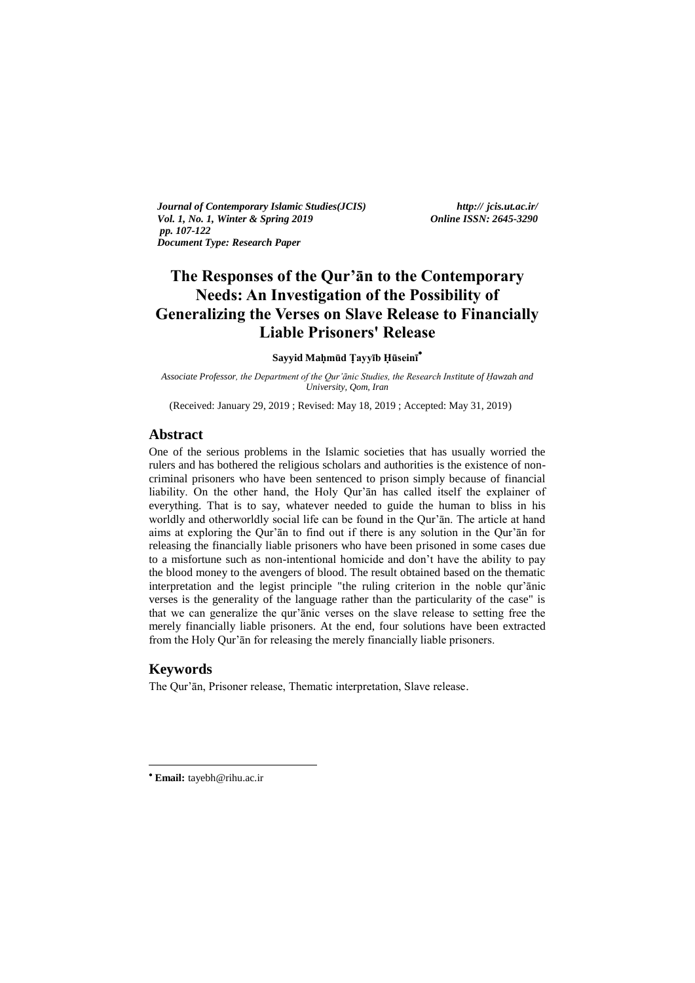*Journal of Contemporary Islamic Studies(JCIS) http:// jcis.ut.ac.ir/ Vol. 1, No. 1, Winter & Spring 2019 Online ISSN: 2645-3290 pp. 107-122 Document Type: Research Paper* 

# **The Responses of the Qur'ān to the Contemporary Needs: An Investigation of the Possibility of Generalizing the Verses on Slave Release to Financially Liable Prisoners' Release**

**Sayyid Maḥmūd Ṭayyīb Ḥūseinī**

*Associate Professor, the Department of the Qur'ānic Studies, the Research Institute of Ḥawzah and University, Qom, Iran*

(Received: January 29, 2019 ; Revised: May 18, 2019 ; Accepted: May 31, 2019)

# **Abstract**

One of the serious problems in the Islamic societies that has usually worried the rulers and has bothered the religious scholars and authorities is the existence of noncriminal prisoners who have been sentenced to prison simply because of financial liability. On the other hand, the Holy Qur'ān has called itself the explainer of everything. That is to say, whatever needed to guide the human to bliss in his worldly and otherworldly social life can be found in the Qur'ān. The article at hand aims at exploring the Qur'ān to find out if there is any solution in the Qur'ān for releasing the financially liable prisoners who have been prisoned in some cases due to a misfortune such as non-intentional homicide and don't have the ability to pay the blood money to the avengers of blood. The result obtained based on the thematic interpretation and the legist principle "the ruling criterion in the noble qur'ānic verses is the generality of the language rather than the particularity of the case" is that we can generalize the qur'ānic verses on the slave release to setting free the merely financially liable prisoners. At the end, four solutions have been extracted from the Holy Qur'ān for releasing the merely financially liable prisoners.

# **Keywords**

1

The Qur'ān, Prisoner release, Thematic interpretation, Slave release.

**Email:** tayebh@rihu.ac.ir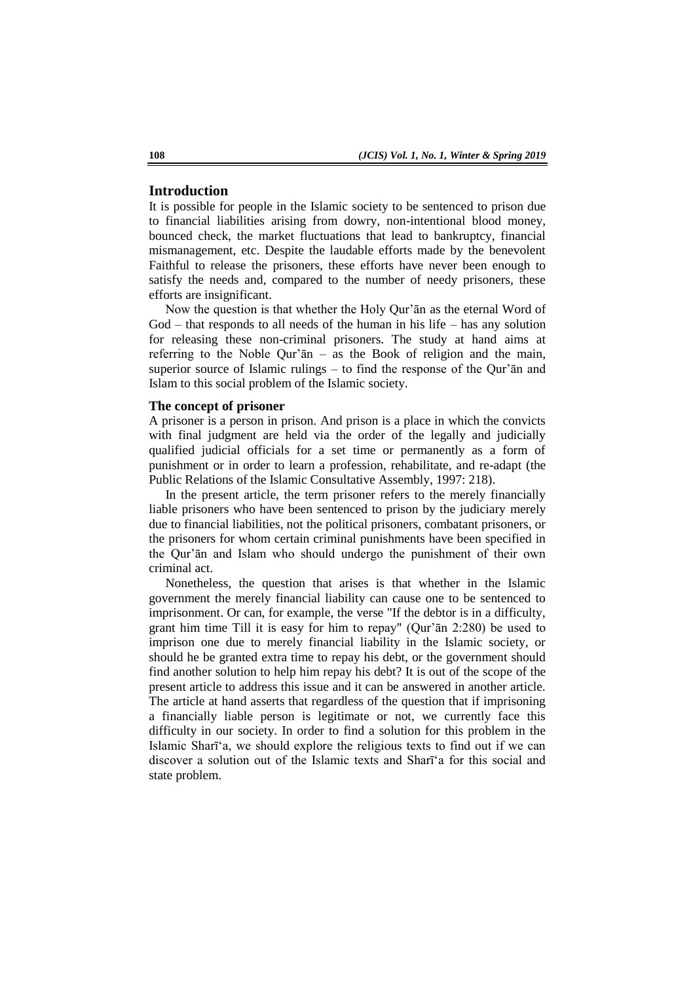# **Introduction**

It is possible for people in the Islamic society to be sentenced to prison due to financial liabilities arising from dowry, non-intentional blood money, bounced check, the market fluctuations that lead to bankruptcy, financial mismanagement, etc. Despite the laudable efforts made by the benevolent Faithful to release the prisoners, these efforts have never been enough to satisfy the needs and, compared to the number of needy prisoners, these efforts are insignificant.

Now the question is that whether the Holy Qur'ān as the eternal Word of God – that responds to all needs of the human in his life – has any solution for releasing these non-criminal prisoners. The study at hand aims at referring to the Noble Qur'ān – as the Book of religion and the main, superior source of Islamic rulings – to find the response of the Qur'ān and Islam to this social problem of the Islamic society.

### **The concept of prisoner**

A prisoner is a person in prison. And prison is a place in which the convicts with final judgment are held via the order of the legally and judicially qualified judicial officials for a set time or permanently as a form of punishment or in order to learn a profession, rehabilitate, and re-adapt (the Public Relations of the Islamic Consultative Assembly, 1997: 218).

In the present article, the term prisoner refers to the merely financially liable prisoners who have been sentenced to prison by the judiciary merely due to financial liabilities, not the political prisoners, combatant prisoners, or the prisoners for whom certain criminal punishments have been specified in the Qur'ān and Islam who should undergo the punishment of their own criminal act.

Nonetheless, the question that arises is that whether in the Islamic government the merely financial liability can cause one to be sentenced to imprisonment. Or can, for example, the verse "If the debtor is in a difficulty, grant him time Till it is easy for him to repay" (Qur'ān 2:280) be used to imprison one due to merely financial liability in the Islamic society, or should he be granted extra time to repay his debt, or the government should find another solution to help him repay his debt? It is out of the scope of the present article to address this issue and it can be answered in another article. The article at hand asserts that regardless of the question that if imprisoning a financially liable person is legitimate or not, we currently face this difficulty in our society. In order to find a solution for this problem in the Islamic Sharī'a, we should explore the religious texts to find out if we can discover a solution out of the Islamic texts and Sharī'a for this social and state problem.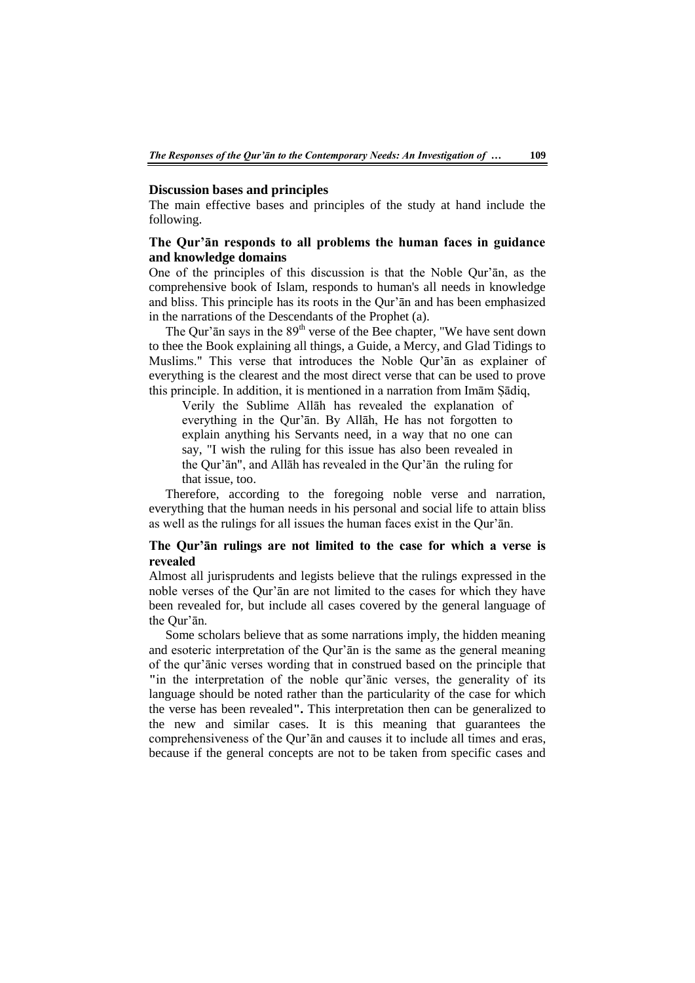#### **Discussion bases and principles**

The main effective bases and principles of the study at hand include the following.

# **The Qur'ān responds to all problems the human faces in guidance and knowledge domains**

One of the principles of this discussion is that the Noble Qur'ān, as the comprehensive book of Islam, responds to human's all needs in knowledge and bliss. This principle has its roots in the Qur'ān and has been emphasized in the narrations of the Descendants of the Prophet (a).

The Qur' $\bar{a}$ n says in the  $89<sup>th</sup>$  verse of the Bee chapter, "We have sent down to thee the Book explaining all things, a Guide, a Mercy, and Glad Tidings to Muslims." This verse that introduces the Noble Qur'ān as explainer of everything is the clearest and the most direct verse that can be used to prove this principle. In addition, it is mentioned in a narration from Imām Ṣādiq,

Verily the Sublime Allāh has revealed the explanation of everything in the Qur'ān. By Allāh, He has not forgotten to explain anything his Servants need, in a way that no one can say, "I wish the ruling for this issue has also been revealed in the Qur'ān", and Allāh has revealed in the Qur'ān the ruling for that issue, too.

Therefore, according to the foregoing noble verse and narration, everything that the human needs in his personal and social life to attain bliss as well as the rulings for all issues the human faces exist in the Qur'ān.

# **The Qur'ān rulings are not limited to the case for which a verse is revealed**

Almost all jurisprudents and legists believe that the rulings expressed in the noble verses of the Qur'ān are not limited to the cases for which they have been revealed for, but include all cases covered by the general language of the Qur'ān.

Some scholars believe that as some narrations imply, the hidden meaning and esoteric interpretation of the Qur'ān is the same as the general meaning of the qur'ānic verses wording that in construed based on the principle that **"**in the interpretation of the noble qur'ānic verses, the generality of its language should be noted rather than the particularity of the case for which the verse has been revealed**".** This interpretation then can be generalized to the new and similar cases. It is this meaning that guarantees the comprehensiveness of the Qur'ān and causes it to include all times and eras, because if the general concepts are not to be taken from specific cases and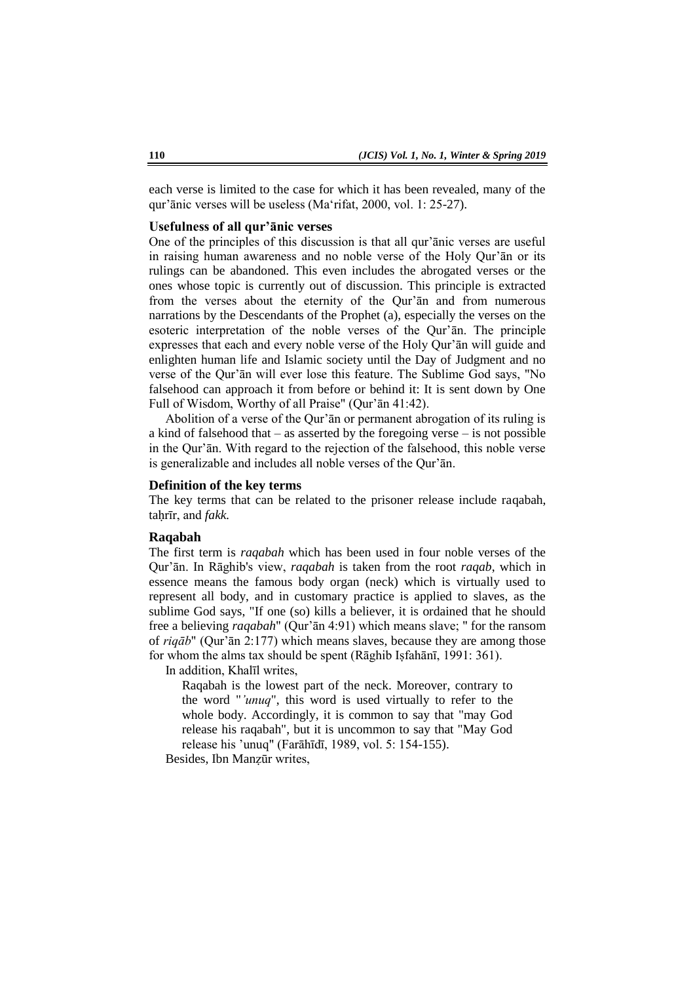each verse is limited to the case for which it has been revealed, many of the qur'ānic verses will be useless (Ma'rifat, 2000, vol. 1: 25-27).

#### **Usefulness of all qur'ānic verses**

One of the principles of this discussion is that all qur'ānic verses are useful in raising human awareness and no noble verse of the Holy Qur'ān or its rulings can be abandoned. This even includes the abrogated verses or the ones whose topic is currently out of discussion. This principle is extracted from the verses about the eternity of the Qur'ān and from numerous narrations by the Descendants of the Prophet (a), especially the verses on the esoteric interpretation of the noble verses of the Qur'ān. The principle expresses that each and every noble verse of the Holy Qur'ān will guide and enlighten human life and Islamic society until the Day of Judgment and no verse of the Qur'ān will ever lose this feature. The Sublime God says, "No falsehood can approach it from before or behind it: It is sent down by One Full of Wisdom, Worthy of all Praise" (Qur'ān 41:42).

Abolition of a verse of the Qur'ān or permanent abrogation of its ruling is a kind of falsehood that – as asserted by the foregoing verse – is not possible in the Qur'ān. With regard to the rejection of the falsehood, this noble verse is generalizable and includes all noble verses of the Qur'ān.

# **Definition of the key terms**

The key terms that can be related to the prisoner release include raqabah, taḥrīr, and *fakk.*

#### **Raqabah**

The first term is *raqabah* which has been used in four noble verses of the Qur'ān. In Rāghib's view, *raqabah* is taken from the root *raqab*, which in essence means the famous body organ (neck) which is virtually used to represent all body, and in customary practice is applied to slaves, as the sublime God says, "If one (so) kills a believer, it is ordained that he should free a believing *raqabah*" (Qur'ān 4:91) which means slave; " for the ransom of *riqāb*" (Qur'ān 2:177) which means slaves, because they are among those for whom the alms tax should be spent (Rāghib Isfahānī, 1991: 361).

In addition, Khalīl writes,

Raqabah is the lowest part of the neck. Moreover, contrary to the word "*'unuq*", this word is used virtually to refer to the whole body. Accordingly, it is common to say that "may God release his raqabah", but it is uncommon to say that "May God release his 'unuq" (Farāhīdī, 1989, vol. 5: 154-155).

Besides, Ibn Manẓūr writes,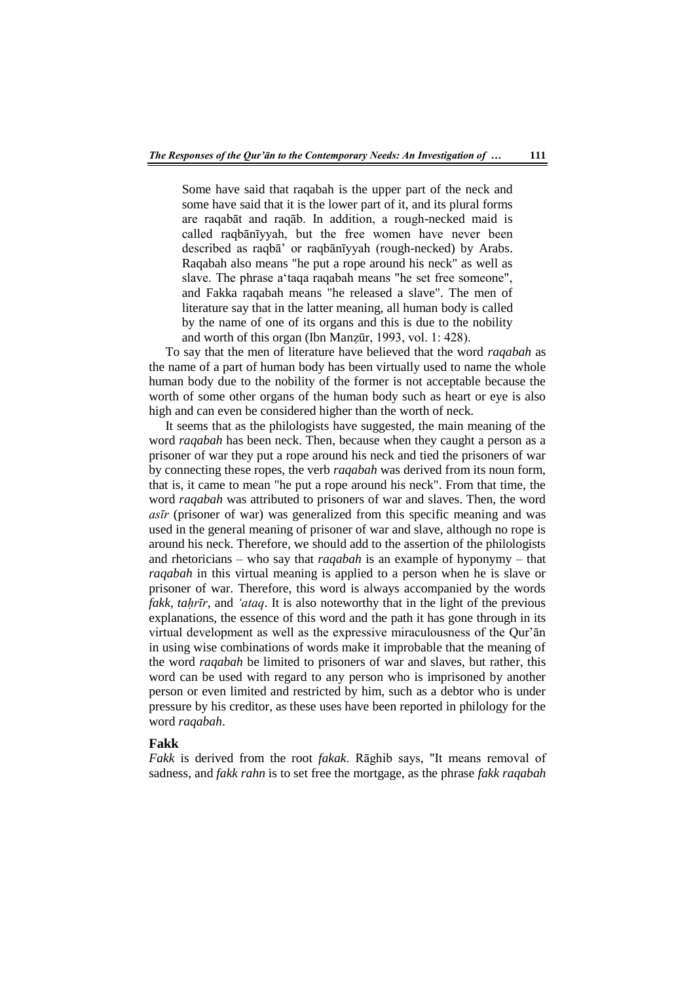Some have said that raqabah is the upper part of the neck and some have said that it is the lower part of it, and its plural forms are raqabāt and raqāb. In addition, a rough-necked maid is called raqbānīyyah, but the free women have never been described as raqbā' or raqbānīyyah (rough-necked) by Arabs. Raqabah also means "he put a rope around his neck" as well as slave. The phrase a'taqa raqabah means "he set free someone", and Fakka raqabah means "he released a slave". The men of literature say that in the latter meaning, all human body is called by the name of one of its organs and this is due to the nobility and worth of this organ (Ibn Manẓūr, 1993, vol. 1: 428).

To say that the men of literature have believed that the word *raqabah* as the name of a part of human body has been virtually used to name the whole human body due to the nobility of the former is not acceptable because the worth of some other organs of the human body such as heart or eye is also high and can even be considered higher than the worth of neck.

It seems that as the philologists have suggested, the main meaning of the word *raqabah* has been neck. Then, because when they caught a person as a prisoner of war they put a rope around his neck and tied the prisoners of war by connecting these ropes, the verb *raqabah* was derived from its noun form, that is, it came to mean "he put a rope around his neck". From that time, the word *raqabah* was attributed to prisoners of war and slaves. Then, the word *asīr* (prisoner of war) was generalized from this specific meaning and was used in the general meaning of prisoner of war and slave, although no rope is around his neck. Therefore, we should add to the assertion of the philologists and rhetoricians – who say that *raqabah* is an example of hyponymy – that *raqabah* in this virtual meaning is applied to a person when he is slave or prisoner of war. Therefore, this word is always accompanied by the words *fakk*, *tahrīr*, and *'ataq*. It is also noteworthy that in the light of the previous explanations, the essence of this word and the path it has gone through in its virtual development as well as the expressive miraculousness of the Qur'ān in using wise combinations of words make it improbable that the meaning of the word *raqabah* be limited to prisoners of war and slaves, but rather, this word can be used with regard to any person who is imprisoned by another person or even limited and restricted by him, such as a debtor who is under pressure by his creditor, as these uses have been reported in philology for the word *raqabah*.

#### **Fakk**

*Fakk* is derived from the root *fakak*. Rāghib says, "It means removal of sadness, and *fakk rahn* is to set free the mortgage, as the phrase *fakk raqabah*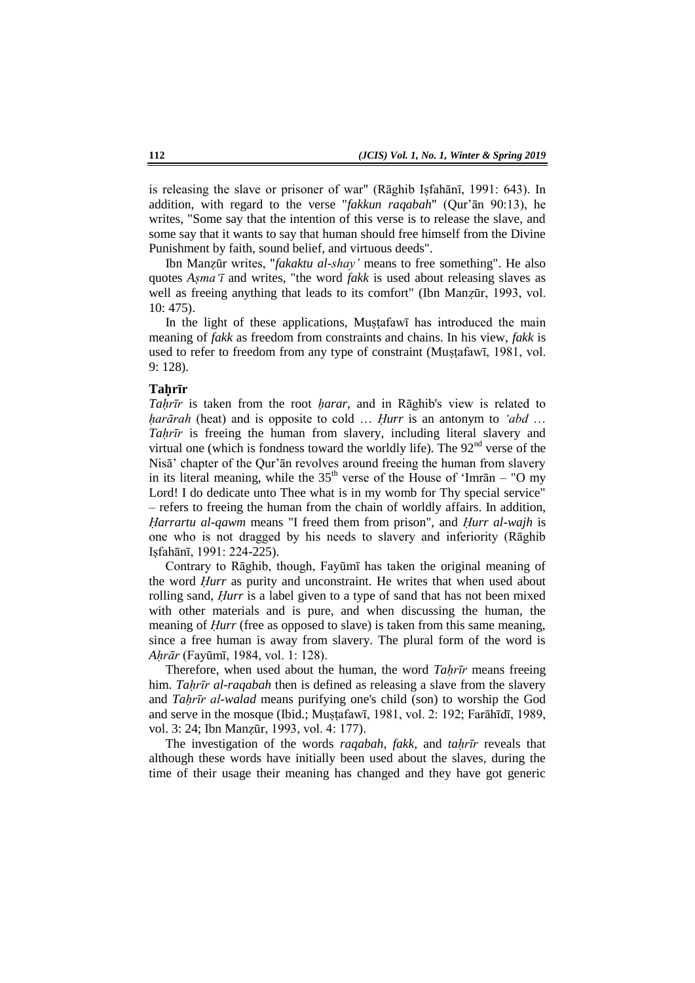is releasing the slave or prisoner of war" (Rāghib Isfahānī, 1991: 643). In addition, with regard to the verse "*fakkun raqabah*" (Qur'ān 90:13), he writes, "Some say that the intention of this verse is to release the slave, and some say that it wants to say that human should free himself from the Divine Punishment by faith, sound belief, and virtuous deeds".

Ibn Manẓūr writes, "*fakaktu al-shay'* means to free something". He also quotes *Aṣma'ī* and writes, "the word *fakk* is used about releasing slaves as well as freeing anything that leads to its comfort" (Ibn Manzūr, 1993, vol. 10: 475).

In the light of these applications, Mustafawi has introduced the main meaning of *fakk* as freedom from constraints and chains. In his view, *fakk* is used to refer to freedom from any type of constraint (Mustafawī, 1981, vol. 9: 128).

#### **Taḥrīr**

*Tahrīr* is taken from the root *harar*, and in Rāghib's view is related to *ḥarārah* (heat) and is opposite to cold … *Ḥurr* is an antonym to *'abd* … *Taḥrīr* is freeing the human from slavery, including literal slavery and virtual one (which is fondness toward the worldly life). The  $92<sup>nd</sup>$  verse of the Nisā' chapter of the Qur'ān revolves around freeing the human from slavery in its literal meaning, while the  $35<sup>th</sup>$  verse of the House of 'Imrān – "O my Lord! I do dedicate unto Thee what is in my womb for Thy special service" – refers to freeing the human from the chain of worldly affairs. In addition, *Ḥarrartu al-qawm* means "I freed them from prison", and *Ḥurr al-wajh* is one who is not dragged by his needs to slavery and inferiority (Rāghib Iṣfahānī, 1991: 224-225).

Contrary to Rāghib, though, Fayūmī has taken the original meaning of the word *Ḥurr* as purity and unconstraint. He writes that when used about rolling sand, *Ḥurr* is a label given to a type of sand that has not been mixed with other materials and is pure, and when discussing the human, the meaning of *Hurr* (free as opposed to slave) is taken from this same meaning, since a free human is away from slavery. The plural form of the word is *Aḥrār* (Fayūmī, 1984, vol. 1: 128).

Therefore, when used about the human, the word *Taḥrīr* means freeing him. *Tahrīr al-raqabah* then is defined as releasing a slave from the slavery and *Taḥrīr al-walad* means purifying one's child (son) to worship the God and serve in the mosque (Ibid.; Mustafawī, 1981, vol. 2: 192; Farāhīdī, 1989, vol. 3: 24; Ibn Manẓūr, 1993, vol. 4: 177).

The investigation of the words *raqabah*, *fakk*, and *tahrīr* reveals that although these words have initially been used about the slaves, during the time of their usage their meaning has changed and they have got generic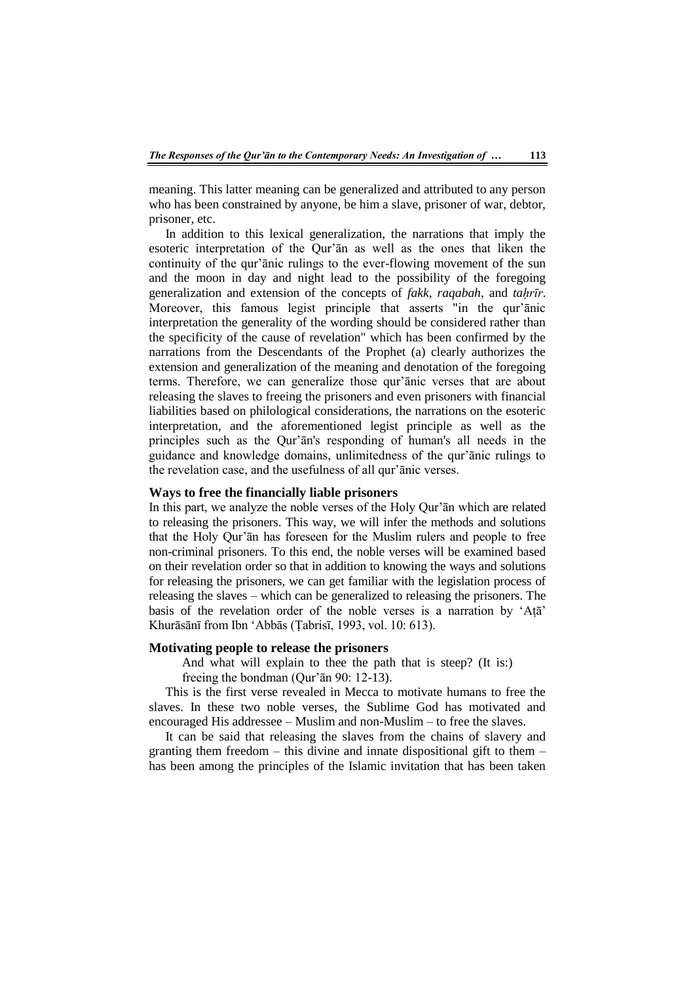meaning. This latter meaning can be generalized and attributed to any person who has been constrained by anyone, be him a slave, prisoner of war, debtor, prisoner, etc.

In addition to this lexical generalization, the narrations that imply the esoteric interpretation of the Qur'ān as well as the ones that liken the continuity of the qur'ānic rulings to the ever-flowing movement of the sun and the moon in day and night lead to the possibility of the foregoing generalization and extension of the concepts of *fakk*, *raqabah*, and *taḥrīr*. Moreover, this famous legist principle that asserts "in the qur'ānic interpretation the generality of the wording should be considered rather than the specificity of the cause of revelation" which has been confirmed by the narrations from the Descendants of the Prophet (a) clearly authorizes the extension and generalization of the meaning and denotation of the foregoing terms. Therefore, we can generalize those qur'ānic verses that are about releasing the slaves to freeing the prisoners and even prisoners with financial liabilities based on philological considerations, the narrations on the esoteric interpretation, and the aforementioned legist principle as well as the principles such as the Qur'ān's responding of human's all needs in the guidance and knowledge domains, unlimitedness of the qur'ānic rulings to the revelation case, and the usefulness of all qur'ānic verses.

# **Ways to free the financially liable prisoners**

In this part, we analyze the noble verses of the Holy Qur'ān which are related to releasing the prisoners. This way, we will infer the methods and solutions that the Holy Qur'ān has foreseen for the Muslim rulers and people to free non-criminal prisoners. To this end, the noble verses will be examined based on their revelation order so that in addition to knowing the ways and solutions for releasing the prisoners, we can get familiar with the legislation process of releasing the slaves – which can be generalized to releasing the prisoners. The basis of the revelation order of the noble verses is a narration by 'Aṭā' Khurāsānī from Ibn 'Abbās (Ṭabrisī, 1993, vol. 10: 613).

#### **Motivating people to release the prisoners**

And what will explain to thee the path that is steep? (It is:)

freeing the bondman (Qur'ān 90: 12-13).

This is the first verse revealed in Mecca to motivate humans to free the slaves. In these two noble verses, the Sublime God has motivated and encouraged His addressee – Muslim and non-Muslim – to free the slaves.

It can be said that releasing the slaves from the chains of slavery and granting them freedom – this divine and innate dispositional gift to them – has been among the principles of the Islamic invitation that has been taken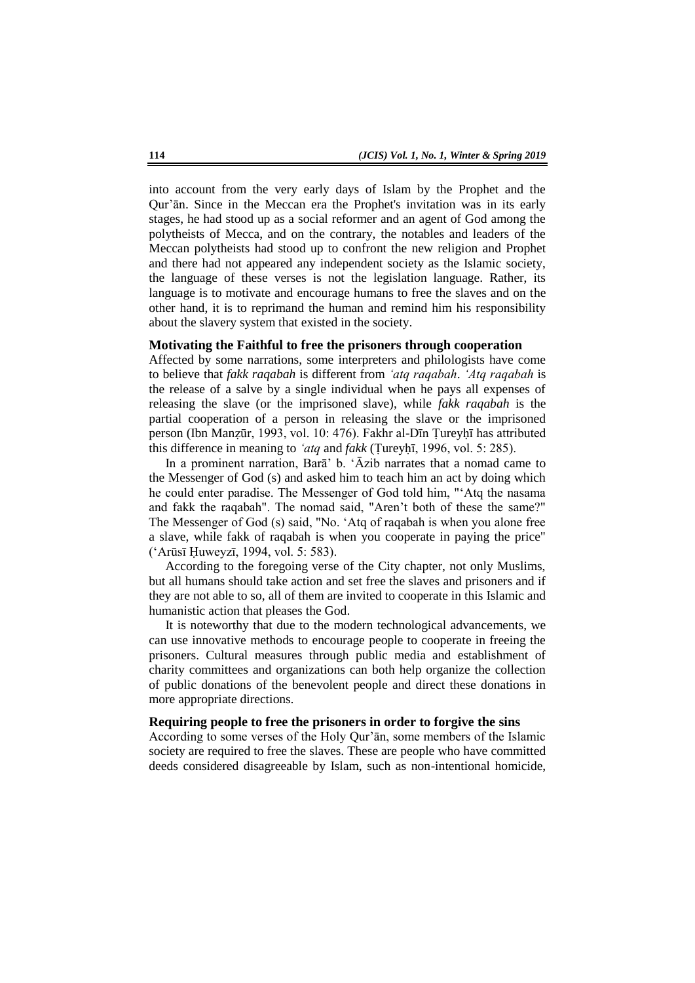into account from the very early days of Islam by the Prophet and the Qur'ān. Since in the Meccan era the Prophet's invitation was in its early stages, he had stood up as a social reformer and an agent of God among the polytheists of Mecca, and on the contrary, the notables and leaders of the Meccan polytheists had stood up to confront the new religion and Prophet and there had not appeared any independent society as the Islamic society, the language of these verses is not the legislation language. Rather, its language is to motivate and encourage humans to free the slaves and on the other hand, it is to reprimand the human and remind him his responsibility about the slavery system that existed in the society.

# **Motivating the Faithful to free the prisoners through cooperation**

Affected by some narrations, some interpreters and philologists have come to believe that *fakk raqabah* is different from *'atq raqabah*. *'Atq raqabah* is the release of a salve by a single individual when he pays all expenses of releasing the slave (or the imprisoned slave), while *fakk raqabah* is the partial cooperation of a person in releasing the slave or the imprisoned person (Ibn Manẓūr, 1993, vol. 10: 476). Fakhr al-Dīn Ṭureyḥī has attributed this difference in meaning to *'atq* and *fakk* (Ṭureyḥī, 1996, vol. 5: 285).

In a prominent narration, Barā' b. 'Āzib narrates that a nomad came to the Messenger of God (s) and asked him to teach him an act by doing which he could enter paradise. The Messenger of God told him, "'Atq the nasama and fakk the raqabah". The nomad said, "Aren't both of these the same?" The Messenger of God (s) said, "No. 'Atq of raqabah is when you alone free a slave, while fakk of raqabah is when you cooperate in paying the price" ('Arūsī Ḥuweyzī, 1994, vol. 5: 583).

According to the foregoing verse of the City chapter, not only Muslims, but all humans should take action and set free the slaves and prisoners and if they are not able to so, all of them are invited to cooperate in this Islamic and humanistic action that pleases the God.

It is noteworthy that due to the modern technological advancements, we can use innovative methods to encourage people to cooperate in freeing the prisoners. Cultural measures through public media and establishment of charity committees and organizations can both help organize the collection of public donations of the benevolent people and direct these donations in more appropriate directions.

## **Requiring people to free the prisoners in order to forgive the sins**

According to some verses of the Holy Qur'ān, some members of the Islamic society are required to free the slaves. These are people who have committed deeds considered disagreeable by Islam, such as non-intentional homicide,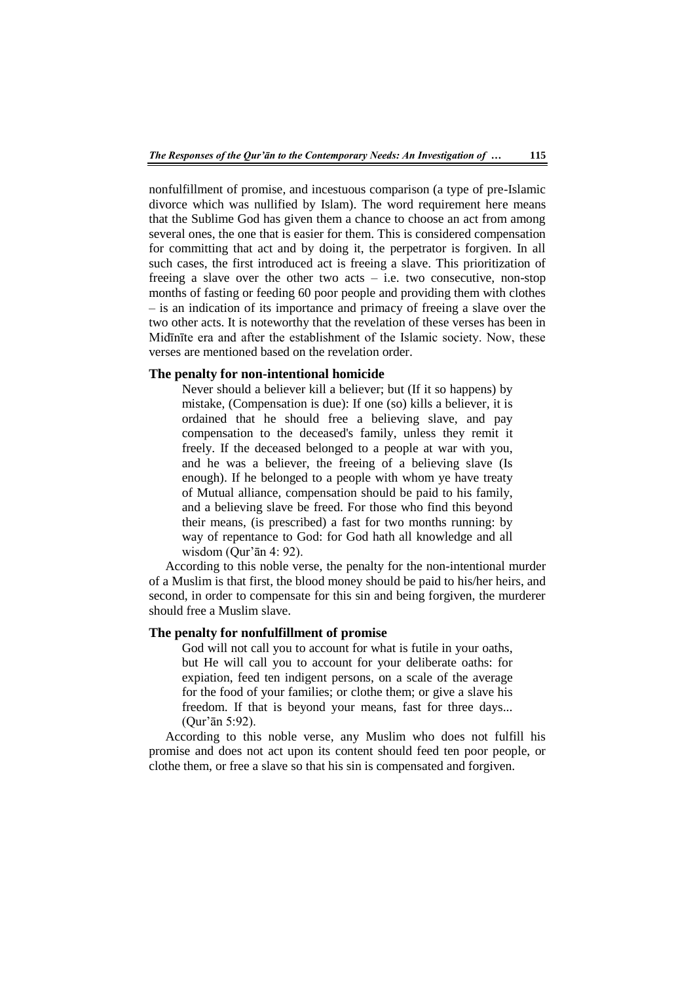nonfulfillment of promise, and incestuous comparison (a type of pre-Islamic divorce which was nullified by Islam). The word requirement here means that the Sublime God has given them a chance to choose an act from among several ones, the one that is easier for them. This is considered compensation for committing that act and by doing it, the perpetrator is forgiven. In all such cases, the first introduced act is freeing a slave. This prioritization of freeing a slave over the other two acts  $-$  i.e. two consecutive, non-stop months of fasting or feeding 60 poor people and providing them with clothes – is an indication of its importance and primacy of freeing a slave over the two other acts. It is noteworthy that the revelation of these verses has been in Midīnīte era and after the establishment of the Islamic society. Now, these verses are mentioned based on the revelation order.

#### **The penalty for non-intentional homicide**

Never should a believer kill a believer; but (If it so happens) by mistake, (Compensation is due): If one (so) kills a believer, it is ordained that he should free a believing slave, and pay compensation to the deceased's family, unless they remit it freely. If the deceased belonged to a people at war with you, and he was a believer, the freeing of a believing slave (Is enough). If he belonged to a people with whom ye have treaty of Mutual alliance, compensation should be paid to his family, and a believing slave be freed. For those who find this beyond their means, (is prescribed) a fast for two months running: by way of repentance to God: for God hath all knowledge and all wisdom (Qur'ān 4: 92).

According to this noble verse, the penalty for the non-intentional murder of a Muslim is that first, the blood money should be paid to his/her heirs, and second, in order to compensate for this sin and being forgiven, the murderer should free a Muslim slave.

## **The penalty for nonfulfillment of promise**

God will not call you to account for what is futile in your oaths, but He will call you to account for your deliberate oaths: for expiation, feed ten indigent persons, on a scale of the average for the food of your families; or clothe them; or give a slave his freedom. If that is beyond your means, fast for three days... (Qur'ān 5:92).

According to this noble verse, any Muslim who does not fulfill his promise and does not act upon its content should feed ten poor people, or clothe them, or free a slave so that his sin is compensated and forgiven.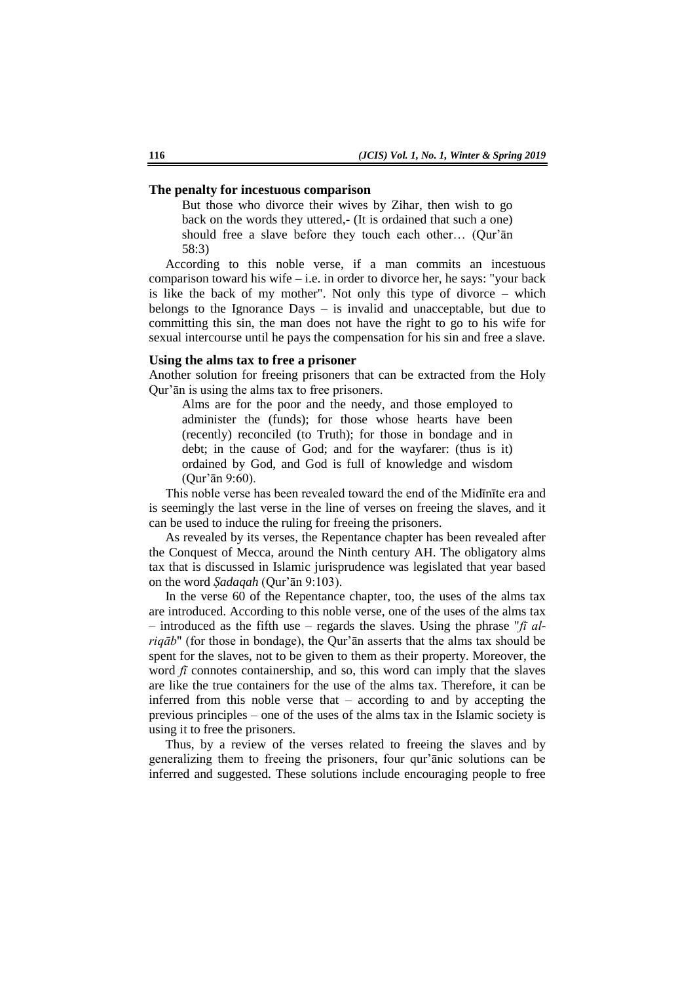#### **The penalty for incestuous comparison**

But those who divorce their wives by Zihar, then wish to go back on the words they uttered,- (It is ordained that such a one) should free a slave before they touch each other… (Qur'ān 58:3)

According to this noble verse, if a man commits an incestuous comparison toward his wife – i.e. in order to divorce her, he says: "your back is like the back of my mother". Not only this type of divorce – which belongs to the Ignorance Days – is invalid and unacceptable, but due to committing this sin, the man does not have the right to go to his wife for sexual intercourse until he pays the compensation for his sin and free a slave.

#### **Using the alms tax to free a prisoner**

Another solution for freeing prisoners that can be extracted from the Holy Qur'ān is using the alms tax to free prisoners.

Alms are for the poor and the needy, and those employed to administer the (funds); for those whose hearts have been (recently) reconciled (to Truth); for those in bondage and in debt; in the cause of God; and for the wayfarer: (thus is it) ordained by God, and God is full of knowledge and wisdom (Qur'ān 9:60).

This noble verse has been revealed toward the end of the Midīnīte era and is seemingly the last verse in the line of verses on freeing the slaves, and it can be used to induce the ruling for freeing the prisoners.

As revealed by its verses, the Repentance chapter has been revealed after the Conquest of Mecca, around the Ninth century AH. The obligatory alms tax that is discussed in Islamic jurisprudence was legislated that year based on the word *Ṣadaqah* (Qur'ān 9:103).

In the verse 60 of the Repentance chapter, too, the uses of the alms tax are introduced. According to this noble verse, one of the uses of the alms tax – introduced as the fifth use – regards the slaves. Using the phrase "*fī alriqāb*" (for those in bondage), the Qur'ān asserts that the alms tax should be spent for the slaves, not to be given to them as their property. Moreover, the word  $f\bar{i}$  connotes containership, and so, this word can imply that the slaves are like the true containers for the use of the alms tax. Therefore, it can be inferred from this noble verse that – according to and by accepting the previous principles – one of the uses of the alms tax in the Islamic society is using it to free the prisoners.

Thus, by a review of the verses related to freeing the slaves and by generalizing them to freeing the prisoners, four qur'ānic solutions can be inferred and suggested. These solutions include encouraging people to free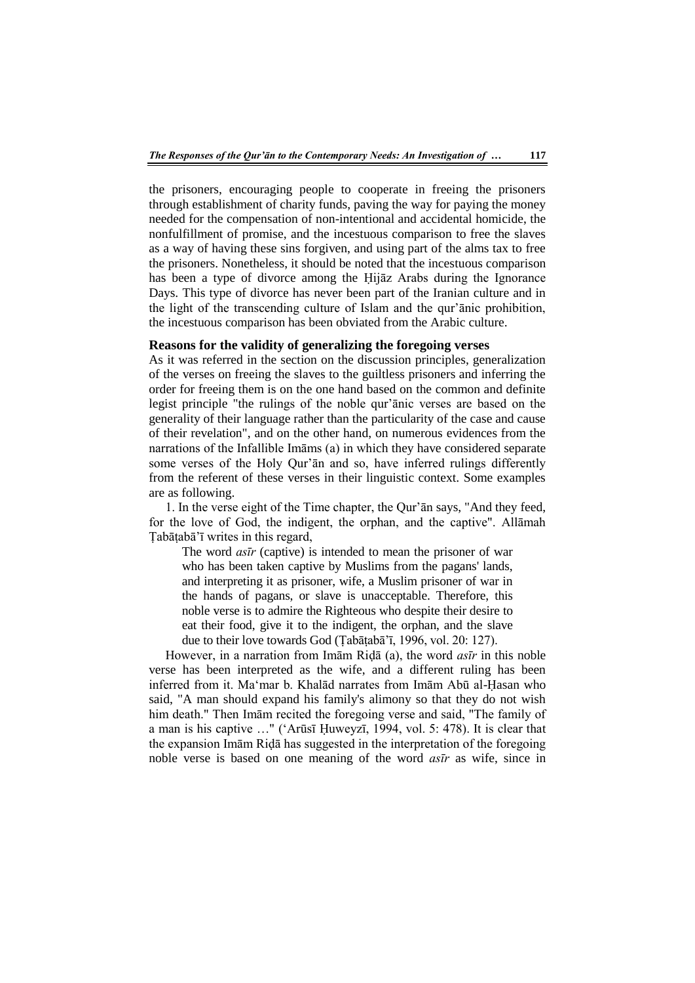the prisoners, encouraging people to cooperate in freeing the prisoners through establishment of charity funds, paving the way for paying the money needed for the compensation of non-intentional and accidental homicide, the nonfulfillment of promise, and the incestuous comparison to free the slaves as a way of having these sins forgiven, and using part of the alms tax to free the prisoners. Nonetheless, it should be noted that the incestuous comparison has been a type of divorce among the Ḥijāz Arabs during the Ignorance Days. This type of divorce has never been part of the Iranian culture and in the light of the transcending culture of Islam and the qur'ānic prohibition, the incestuous comparison has been obviated from the Arabic culture.

# **Reasons for the validity of generalizing the foregoing verses**

As it was referred in the section on the discussion principles, generalization of the verses on freeing the slaves to the guiltless prisoners and inferring the order for freeing them is on the one hand based on the common and definite legist principle "the rulings of the noble qur'ānic verses are based on the generality of their language rather than the particularity of the case and cause of their revelation", and on the other hand, on numerous evidences from the narrations of the Infallible Imāms (a) in which they have considered separate some verses of the Holy Qur'ān and so, have inferred rulings differently from the referent of these verses in their linguistic context. Some examples are as following.

1. In the verse eight of the Time chapter, the Qur'ān says, "And they feed, for the love of God, the indigent, the orphan, and the captive". Allāmah Tabātabā'ī writes in this regard,

The word *asīr* (captive) is intended to mean the prisoner of war who has been taken captive by Muslims from the pagans' lands, and interpreting it as prisoner, wife, a Muslim prisoner of war in the hands of pagans, or slave is unacceptable. Therefore, this noble verse is to admire the Righteous who despite their desire to eat their food, give it to the indigent, the orphan, and the slave due to their love towards God (Ṭabāṭabā'ī, 1996, vol. 20: 127).

However, in a narration from Imām Riḍā (a), the word *asīr* in this noble verse has been interpreted as the wife, and a different ruling has been inferred from it. Ma'mar b. Khalād narrates from Imām Abū al-Ḥasan who said, "A man should expand his family's alimony so that they do not wish him death." Then Imām recited the foregoing verse and said, "The family of a man is his captive …" ('Arūsī Ḥuweyzī, 1994, vol. 5: 478). It is clear that the expansion Imām Riḍā has suggested in the interpretation of the foregoing noble verse is based on one meaning of the word *asīr* as wife, since in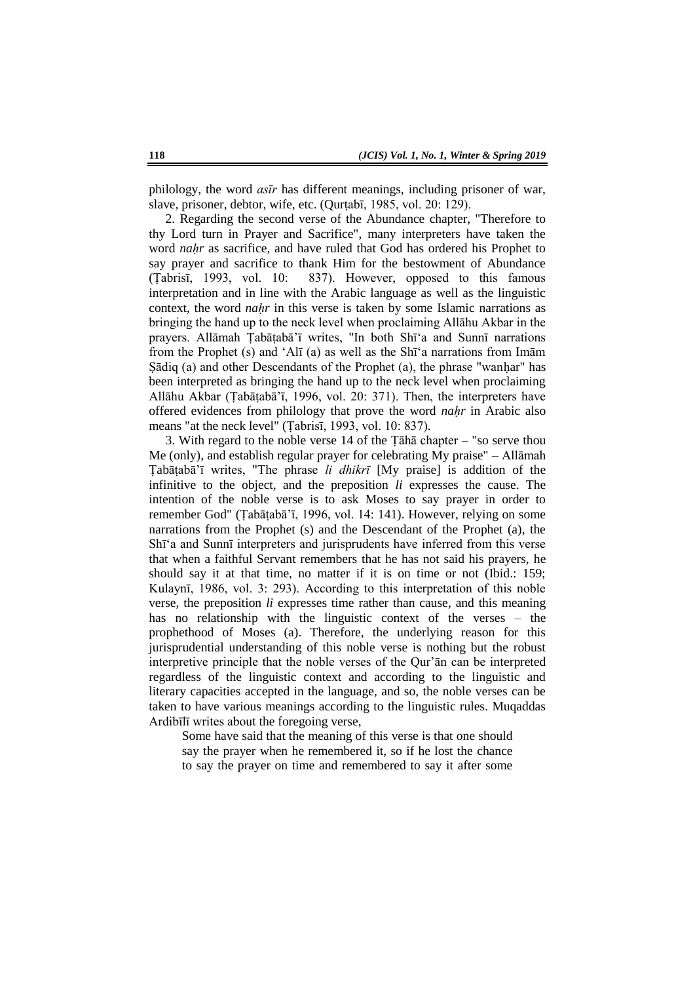philology, the word *asīr* has different meanings, including prisoner of war, slave, prisoner, debtor, wife, etc. (Qurṭabī, 1985, vol. 20: 129).

2. Regarding the second verse of the Abundance chapter, "Therefore to thy Lord turn in Prayer and Sacrifice", many interpreters have taken the word *nahr* as sacrifice, and have ruled that God has ordered his Prophet to say prayer and sacrifice to thank Him for the bestowment of Abundance (Ṭabrisī, 1993, vol. 10: 837). However, opposed to this famous interpretation and in line with the Arabic language as well as the linguistic context, the word *naḥr* in this verse is taken by some Islamic narrations as bringing the hand up to the neck level when proclaiming Allāhu Akbar in the prayers. Allāmah Ṭabāṭabā'ī writes, "In both Shī'a and Sunnī narrations from the Prophet (s) and 'Alī (a) as well as the Shī'a narrations from Imām Sādiq (a) and other Descendants of the Prophet (a), the phrase "wanhar" has been interpreted as bringing the hand up to the neck level when proclaiming Allāhu Akbar (Ṭabāṭabā'ī, 1996, vol. 20: 371). Then, the interpreters have offered evidences from philology that prove the word *naḥr* in Arabic also means "at the neck level" (Ṭabrisī, 1993, vol. 10: 837).

3. With regard to the noble verse 14 of the Ṭāhā chapter – "so serve thou Me (only), and establish regular prayer for celebrating My praise" – Allāmah Ṭabāṭabā'ī writes, "The phrase *li dhikrī* [My praise] is addition of the infinitive to the object, and the preposition *li* expresses the cause. The intention of the noble verse is to ask Moses to say prayer in order to remember God" (Ṭabāṭabā'ī, 1996, vol. 14: 141). However, relying on some narrations from the Prophet (s) and the Descendant of the Prophet (a), the Shī'a and Sunnī interpreters and jurisprudents have inferred from this verse that when a faithful Servant remembers that he has not said his prayers, he should say it at that time, no matter if it is on time or not (Ibid.: 159; Kulaynī, 1986, vol. 3: 293). According to this interpretation of this noble verse, the preposition *li* expresses time rather than cause, and this meaning has no relationship with the linguistic context of the verses – the prophethood of Moses (a). Therefore, the underlying reason for this jurisprudential understanding of this noble verse is nothing but the robust interpretive principle that the noble verses of the Qur'ān can be interpreted regardless of the linguistic context and according to the linguistic and literary capacities accepted in the language, and so, the noble verses can be taken to have various meanings according to the linguistic rules. Muqaddas Ardibīlī writes about the foregoing verse,

Some have said that the meaning of this verse is that one should say the prayer when he remembered it, so if he lost the chance to say the prayer on time and remembered to say it after some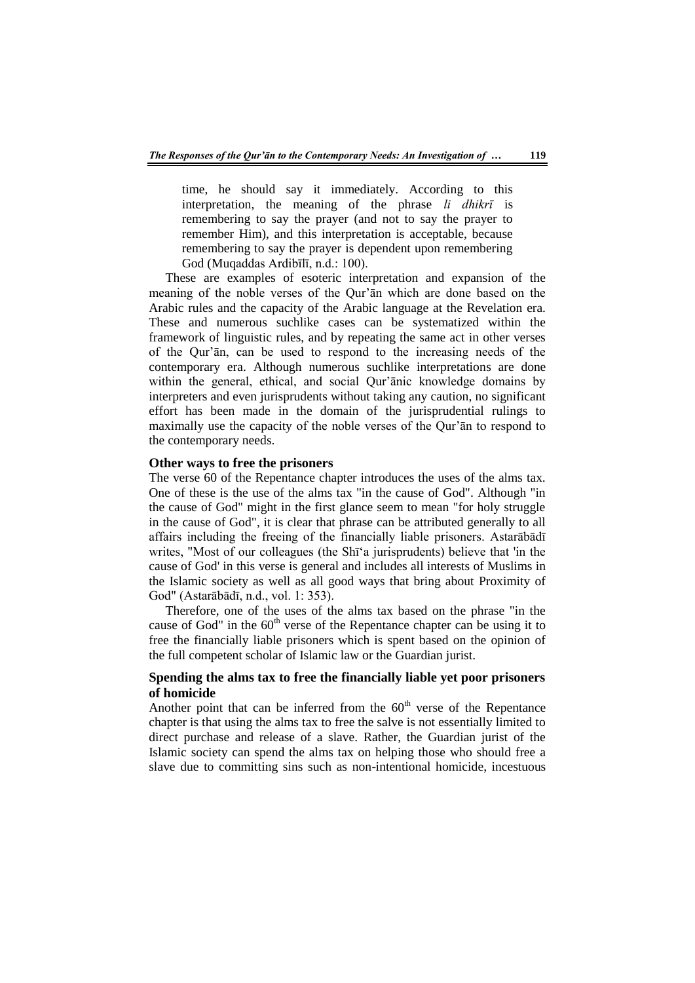time, he should say it immediately. According to this interpretation, the meaning of the phrase *li dhikrī* is remembering to say the prayer (and not to say the prayer to remember Him), and this interpretation is acceptable, because remembering to say the prayer is dependent upon remembering God (Muqaddas Ardibīlī, n.d.: 100).

These are examples of esoteric interpretation and expansion of the meaning of the noble verses of the Qur'ān which are done based on the Arabic rules and the capacity of the Arabic language at the Revelation era. These and numerous suchlike cases can be systematized within the framework of linguistic rules, and by repeating the same act in other verses of the Qur'ān, can be used to respond to the increasing needs of the contemporary era. Although numerous suchlike interpretations are done within the general, ethical, and social Qur'ānic knowledge domains by interpreters and even jurisprudents without taking any caution, no significant effort has been made in the domain of the jurisprudential rulings to maximally use the capacity of the noble verses of the Qur'ān to respond to the contemporary needs.

#### **Other ways to free the prisoners**

The verse 60 of the Repentance chapter introduces the uses of the alms tax. One of these is the use of the alms tax "in the cause of God". Although "in the cause of God" might in the first glance seem to mean "for holy struggle in the cause of God", it is clear that phrase can be attributed generally to all affairs including the freeing of the financially liable prisoners. Astarābādī writes, "Most of our colleagues (the Shī'a jurisprudents) believe that 'in the cause of God' in this verse is general and includes all interests of Muslims in the Islamic society as well as all good ways that bring about Proximity of God" (Astarābādī, n.d., vol. 1: 353).

Therefore, one of the uses of the alms tax based on the phrase "in the cause of God" in the  $60<sup>th</sup>$  verse of the Repentance chapter can be using it to free the financially liable prisoners which is spent based on the opinion of the full competent scholar of Islamic law or the Guardian jurist.

# **Spending the alms tax to free the financially liable yet poor prisoners of homicide**

Another point that can be inferred from the  $60<sup>th</sup>$  verse of the Repentance chapter is that using the alms tax to free the salve is not essentially limited to direct purchase and release of a slave. Rather, the Guardian jurist of the Islamic society can spend the alms tax on helping those who should free a slave due to committing sins such as non-intentional homicide, incestuous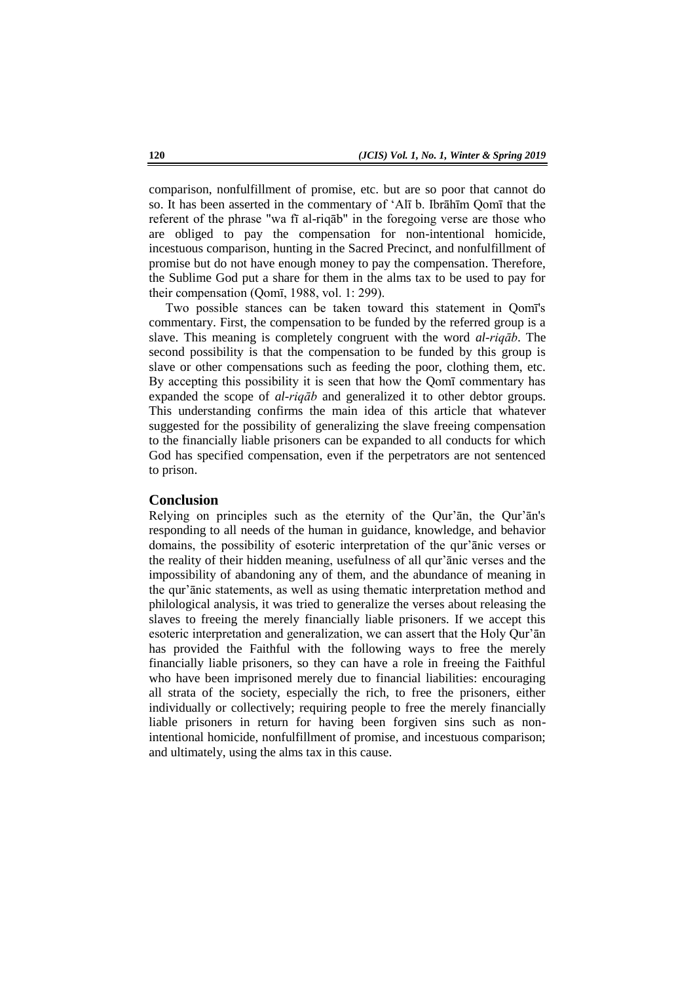comparison, nonfulfillment of promise, etc. but are so poor that cannot do so. It has been asserted in the commentary of 'Alī b. Ibrāhīm Qomī that the referent of the phrase "wa fī al-riqāb" in the foregoing verse are those who are obliged to pay the compensation for non-intentional homicide, incestuous comparison, hunting in the Sacred Precinct, and nonfulfillment of promise but do not have enough money to pay the compensation. Therefore, the Sublime God put a share for them in the alms tax to be used to pay for their compensation (Qomī, 1988, vol. 1: 299).

Two possible stances can be taken toward this statement in Qomī's commentary. First, the compensation to be funded by the referred group is a slave. This meaning is completely congruent with the word *al-riqāb*. The second possibility is that the compensation to be funded by this group is slave or other compensations such as feeding the poor, clothing them, etc. By accepting this possibility it is seen that how the Qomī commentary has expanded the scope of *al-riqāb* and generalized it to other debtor groups. This understanding confirms the main idea of this article that whatever suggested for the possibility of generalizing the slave freeing compensation to the financially liable prisoners can be expanded to all conducts for which God has specified compensation, even if the perpetrators are not sentenced to prison.

#### **Conclusion**

Relying on principles such as the eternity of the Qur'ān, the Qur'ān's responding to all needs of the human in guidance, knowledge, and behavior domains, the possibility of esoteric interpretation of the qur'ānic verses or the reality of their hidden meaning, usefulness of all qur'ānic verses and the impossibility of abandoning any of them, and the abundance of meaning in the qur'ānic statements, as well as using thematic interpretation method and philological analysis, it was tried to generalize the verses about releasing the slaves to freeing the merely financially liable prisoners. If we accept this esoteric interpretation and generalization, we can assert that the Holy Qur'ān has provided the Faithful with the following ways to free the merely financially liable prisoners, so they can have a role in freeing the Faithful who have been imprisoned merely due to financial liabilities: encouraging all strata of the society, especially the rich, to free the prisoners, either individually or collectively; requiring people to free the merely financially liable prisoners in return for having been forgiven sins such as nonintentional homicide, nonfulfillment of promise, and incestuous comparison; and ultimately, using the alms tax in this cause.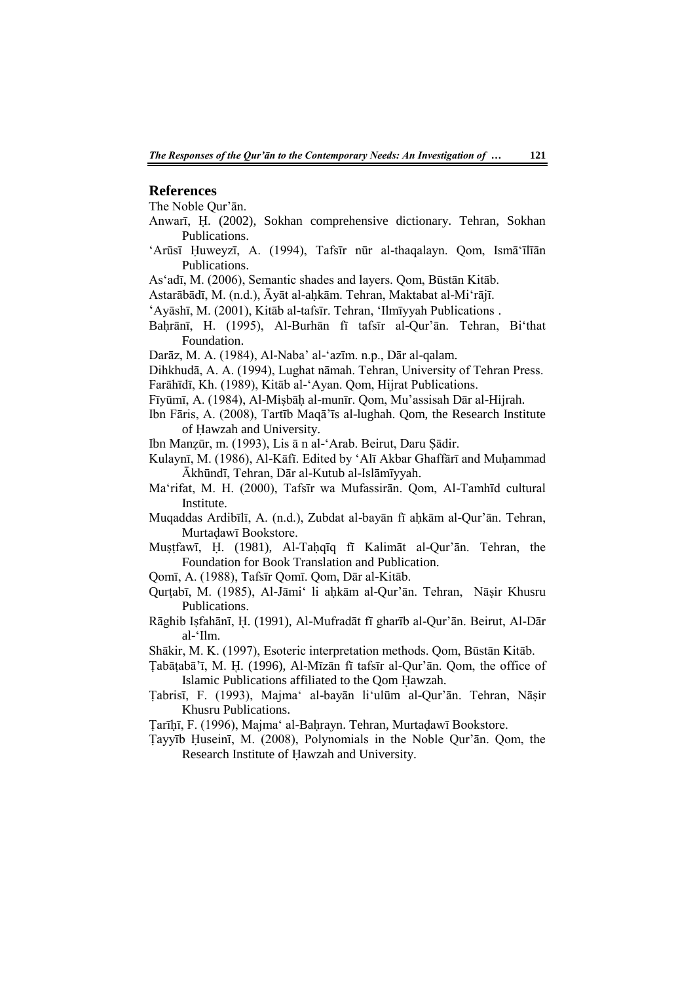#### **References**

The Noble Qur'ān.

- Anwarī, Ḥ. (2002), Sokhan comprehensive dictionary. Tehran, Sokhan Publications.
- 'Arūsī Ḥuweyzī, A. (1994), Tafsīr nūr al-thaqalayn. Qom, Ismā'īlīān Publications.

As'adī, M. (2006), Semantic shades and layers. Qom, Būstān Kitāb.

- Astarābādī, M. (n.d.), Āyāt al-aḥkām. Tehran, Maktabat al-Mi'rājī.
- 'Ayāshī, M. (2001), Kitāb al-tafsīr. Tehran, 'Ilmīyyah Publications .
- Baḥrānī, H. (1995), Al-Burhān fī tafsīr al-Qur'ān. Tehran, Bi'that Foundation.
- Darāz, M. A. (1984), Al-Naba' al-'azīm. n.p., Dār al-qalam.
- Dihkhudā, A. A. (1994), Lughat nāmah. Tehran, University of Tehran Press.
- Farāhīdī, Kh. (1989), Kitāb al-'Ayan. Qom, Hijrat Publications.
- Fīyūmī, A. (1984), Al-Miṣbāḥ al-munīr. Qom, Mu'assisah Dār al-Hijrah.
- Ibn Fāris, A. (2008), Tartīb Maqā'īs al-lughah. Qom, the Research Institute of Ḥawzah and University.
- Ibn Manẓūr, m. (1993), Lis ā n al-'Arab. Beirut, Daru Ṣādir.
- Kulaynī, M. (1986), Al-Kāfī. Edited by 'Alī Akbar Ghaffārī and Muhammad Ākhūndī, Tehran, Dār al-Kutub al-Islāmīyyah.
- Ma'rifat, M. H. (2000), Tafsīr wa Mufassirān. Qom, Al-Tamhīd cultural Institute.
- Muqaddas Ardibīlī, A. (n.d.), Zubdat al-bayān fī ahkām al-Qur'ān. Tehran, Murtaḍawī Bookstore.
- Muṣṭfawī, Ḥ. (1981), Al-Taḥqīq fī Kalimāt al-Qur'ān. Tehran, the Foundation for Book Translation and Publication.
- Qomī, A. (1988), Tafsīr Qomī. Qom, Dār al-Kitāb.
- Qurṭabī, M. (1985), Al-Jāmi' li aḥkām al-Qur'ān. Tehran, Nāṣir Khusru Publications.
- Rāghib Iṣfahānī, ῌ. (1991), Al-Mufradāt fī gharīb al-Qur'ān. Beirut, Al-Dār al-'Ilm.
- Shākir, M. K. (1997), Esoteric interpretation methods. Qom, Būstān Kitāb.
- Ṭabāṭabā'ī, M. ῌ. (1996), Al-Mīzān fī tafsīr al-Qur'ān. Qom, the office of Islamic Publications affiliated to the Qom Hawzah.
- Ṭabrisī, F. (1993), Majma' al-bayān li'ulūm al-Qur'ān. Tehran, Nāṣir Khusru Publications.

Ṭarīḥī, F. (1996), Majma' al-Baḥrayn. Tehran, Murtaḍawī Bookstore.

Ṭayyīb Ḥuseinī, M. (2008), Polynomials in the Noble Qur'ān. Qom, the Research Institute of Ḥawzah and University.